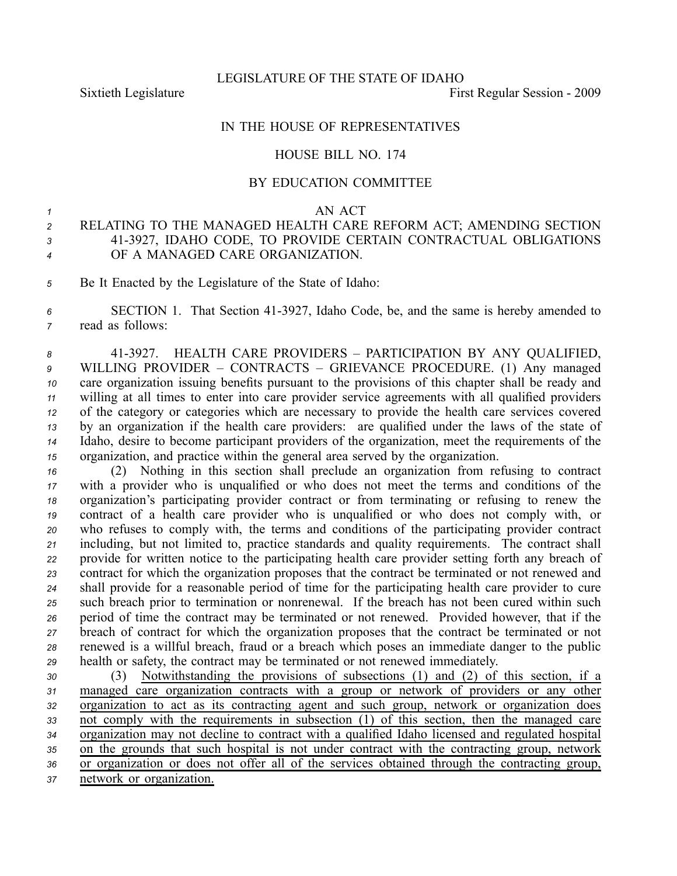LEGISLATURE OF THE STATE OF IDAHO

Sixtieth Legislature **First** Regular Session - 2009

## IN THE HOUSE OF REPRESENTATIVES

#### HOUSE BILL NO. 174

## BY EDUCATION COMMITTEE

#### *<sup>1</sup>* AN ACT

# *<sup>2</sup>* RELATING TO THE MANAGED HEALTH CARE REFORM ACT; AMENDING SECTION *<sup>3</sup>* 413927, IDAHO CODE, TO PROVIDE CERTAIN CONTRACTUAL OBLIGATIONS *<sup>4</sup>* OF A MANAGED CARE ORGANIZATION.

*<sup>5</sup>* Be It Enacted by the Legislature of the State of Idaho:

*<sup>6</sup>* SECTION 1. That Section 413927, Idaho Code, be, and the same is hereby amended to *<sup>7</sup>* read as follows:

 413927. HEALTH CARE PROVIDERS – PARTICIPATION BY ANY QUALIFIED, WILLING PROVIDER – CONTRACTS – GRIEVANCE PROCEDURE. (1) Any managed care organization issuing benefits pursuan<sup>t</sup> to the provisions of this chapter shall be ready and willing at all times to enter into care provider service agreements with all qualified providers of the category or categories which are necessary to provide the health care services covered by an organization if the health care providers: are qualified under the laws of the state of Idaho, desire to become participant providers of the organization, meet the requirements of the organization, and practice within the general area served by the organization.

 (2) Nothing in this section shall preclude an organization from refusing to contract with <sup>a</sup> provider who is unqualified or who does not meet the terms and conditions of the organization's participating provider contract or from terminating or refusing to renew the contract of <sup>a</sup> health care provider who is unqualified or who does not comply with, or who refuses to comply with, the terms and conditions of the participating provider contract including, but not limited to, practice standards and quality requirements. The contract shall provide for written notice to the participating health care provider setting forth any breach of contract for which the organization proposes that the contract be terminated or not renewed and shall provide for <sup>a</sup> reasonable period of time for the participating health care provider to cure such breach prior to termination or nonrenewal. If the breach has not been cured within such period of time the contract may be terminated or not renewed. Provided however, that if the breach of contract for which the organization proposes that the contract be terminated or not renewed is <sup>a</sup> willful breach, fraud or <sup>a</sup> breach which poses an immediate danger to the public health or safety, the contract may be terminated or not renewed immediately.

 (3) Notwithstanding the provisions of subsections (1) and (2) of this section, if <sup>a</sup> managed care organization contracts with <sup>a</sup> group or network of providers or any other organization to act as its contracting agen<sup>t</sup> and such group, network or organization does not comply with the requirements in subsection (1) of this section, then the managed care organization may not decline to contract with <sup>a</sup> qualified Idaho licensed and regulated hospital on the grounds that such hospital is not under contract with the contracting group, network or organization or does not offer all of the services obtained through the contracting group, network or organization.